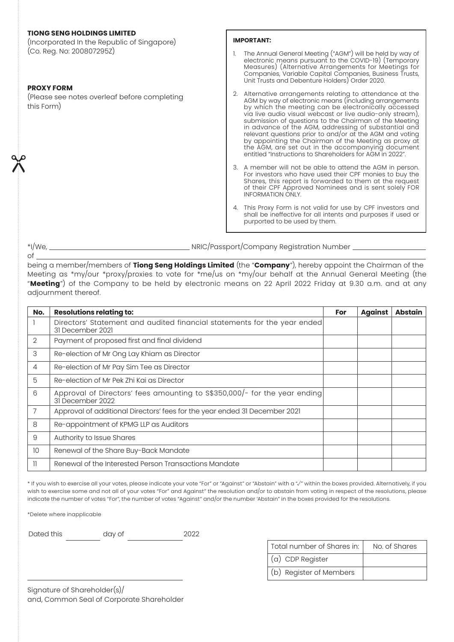# **TIONG SENG HOLDINGS LIMITED**

(Incorporated In the Republic of Singapore) (Co. Reg. No: 200807295Z)

### **PROXY FORM**

of

 $\chi$ 

(Please see notes overleaf before completing this Form)

## **IMPORTANT:**

- 1. The Annual General Meeting ("AGM") will be held by way of electronic means pursuant to the COVID-19) (Temporary Measures) (Alternative Arrangements for Meetings for Companies, Variable Capital Companies, Business Trusts, Unit Trusts and Debenture Holders) Order 2020.
- 2. Alternative arrangements relating to attendance at the AGM by way of electronic means (including arrangements by which the meeting can be electronically accessed via live audio visual webcast or live audio-only stream), submission of questions to the Chairman of the Meeting in advance of the AGM, addressing of substantial and relevant questions prior to and/or at the AGM and voting by appointing the Chairman of the Meeting as proxy at the AGM, are set out in the accompanying document entitled "Instructions to Shareholders for AGM in 2022".
- 3. A member will not be able to attend the AGM in person. For investors who have used their CPF monies to buy the Shares, this report is forwarded to them at the request of their CPF Approved Nominees and is sent solely FOR INFORMATION ONLY.
- 4. This Proxy Form is not valid for use by CPF investors and shall be ineffective for all intents and purposes if used or purported to be used by them.

\*I/We, NRIC/Passport/Company Registration Number

being a member/members of **Tiong Seng Holdings Limited** (the "**Company**"), hereby appoint the Chairman of the Meeting as \*my/our \*proxy/proxies to vote for \*me/us on \*my/our behalf at the Annual General Meeting (the "**Meeting**") of the Company to be held by electronic means on 22 April 2022 Friday at 9.30 a.m. and at any adjournment thereof.

| No.            | <b>Resolutions relating to:</b>                                                               | For | <b>Against</b> | <b>Abstain</b> |
|----------------|-----------------------------------------------------------------------------------------------|-----|----------------|----------------|
|                | Directors' Statement and audited financial statements for the year ended<br>31 December 2021  |     |                |                |
| 2              | Payment of proposed first and final dividend                                                  |     |                |                |
| 3              | Re-election of Mr Ong Lay Khiam as Director                                                   |     |                |                |
| $\overline{4}$ | Re-election of Mr Pay Sim Tee as Director                                                     |     |                |                |
| 5              | Re-election of Mr Pek Zhi Kai as Director                                                     |     |                |                |
| 6              | Approval of Directors' fees amounting to S\$350,000/- for the year ending<br>31 December 2022 |     |                |                |
| 7              | Approval of additional Directors' fees for the year ended 31 December 2021                    |     |                |                |
| 8              | Re-appointment of KPMG LLP as Auditors                                                        |     |                |                |
| 9              | Authority to Issue Shares                                                                     |     |                |                |
| 10             | Renewal of the Share Buy-Back Mandate                                                         |     |                |                |
| 11             | Renewal of the Interested Person Transactions Mandate                                         |     |                |                |

\* If you wish to exercise all your votes, please indicate your vote "For" or "Against" or "Abstain" with a "√" within the boxes provided. Alternatively, if you wish to exercise some and not all of your votes "For" and Against" the resolution and/or to abstain from voting in respect of the resolutions, please indicate the number of votes "For", the number of votes "Against" and/or the number 'Abstain" in the boxes provided for the resolutions.

\*Delete where inapplicable

Dated this day of 2022

Total number of Shares in: No. of Shares (a) CDP Register (b) Register of Members

Signature of Shareholder(s)/ and, Common Seal of Corporate Shareholder